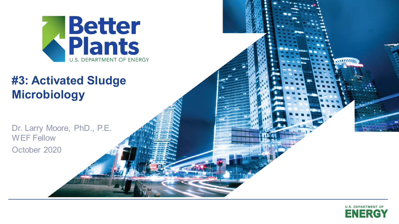

### **Contract Massems #3: Activated Sludge**

Dr. Larry Moore, PhD., P.E. WEF Fellow October 2020



WHITE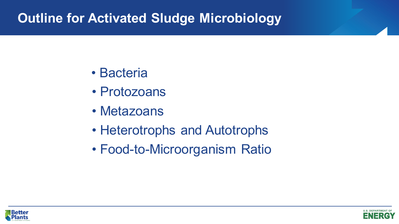# **Outline for Activated Sludge Microbiology**

- Bacteria
- Protozoans
- Metazoans
- Heterotrophs and Autotrophs
- Food-to-Microorganism Ratio



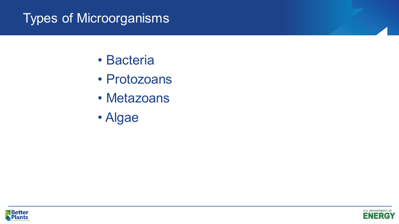# Types of Microorganisms

- Bacteria
- Protozoans
- Metazoans
- Algae



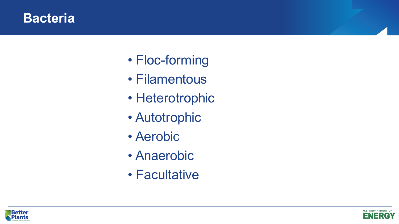#### **Bacteria**

- Floc-forming
- Filamentous
- Heterotrophic
- Autotrophic
- Aerobic
- Anaerobic
- Facultative



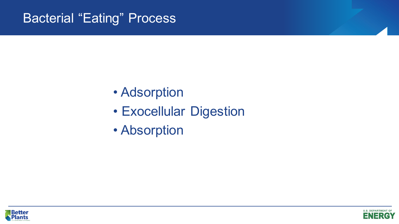## Bacterial "Eating" Process

- Adsorption
- Exocellular Digestion
- Absorption



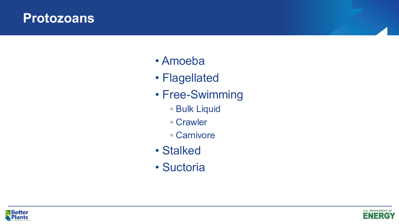#### **Protozoans**

- Amoeba
- Flagellated
- Free-Swimming
	- Bulk Liquid
	- Crawler
	- Carnivore
- Stalked
- Suctoria



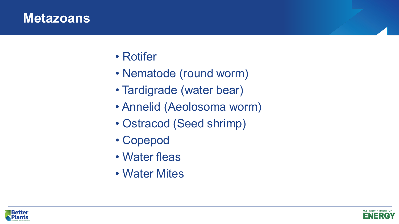#### **Metazoans**

- Rotifer
- Nematode (round worm)
- Tardigrade (water bear)
- Annelid (Aeolosoma worm)
- Ostracod (Seed shrimp)
- Copepod
- Water fleas
- Water Mites



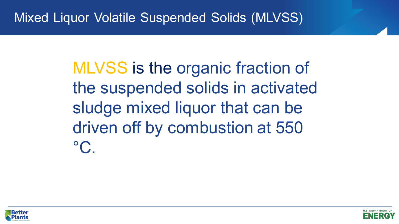MLVSS is the organic fraction of the suspended solids in activated sludge mixed liquor that can be driven off by combustion at 550  $^{\circ}C$ .



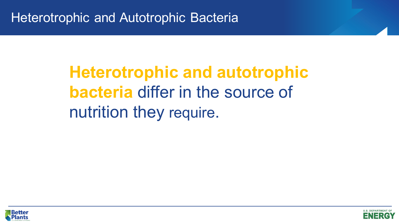# **MOVIGTIC CONTROLLER SUBJECT OF SPACE OF SUBJECT OF SPACE SPACE OF SPACE OF SPACE SPACE SPACE OF SPACE SPACE SPACE SPACE SPACE SPACE SPACE SPACE SPACE SPACE SPACE SPACE SPACE SPACE SPACE SPACE SPACE SPACE SPACE SPACE SPACE Heterotrophic and autotrophic bacteria** differ in the source of nutrition they require.



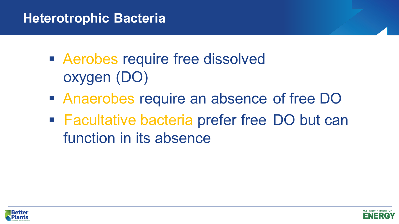# **Heterotrophic Bacteria**

- **Example 1 Aerobes require free dissolved** oxygen (DO)
- Anaerobes require an absence of free DO
- Facultative bacteria prefer free DO but can function in its absence



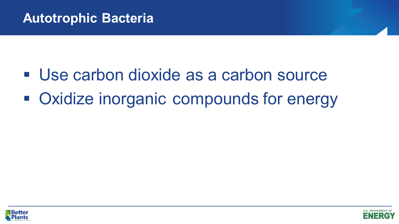- Use carbon dioxide as a carbon source
- **Oxidize inorganic compounds for energy**



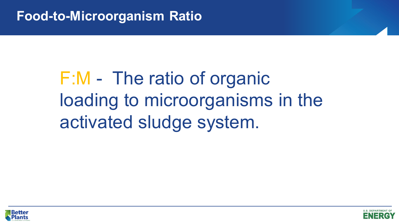# F:M - The ratio of organic loading to microorganisms in the activated sludge system.



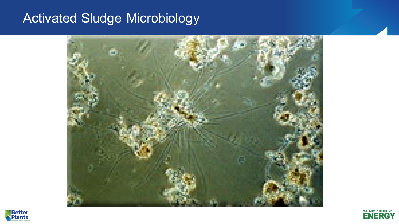# Activated Sludge Microbiology





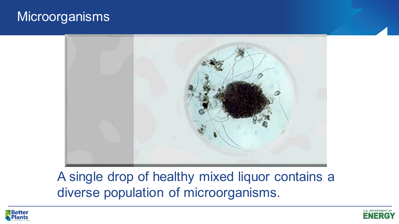#### **Microorganisms**



A single drop of healthy mixed liquor contains a diverse population of microorganisms.



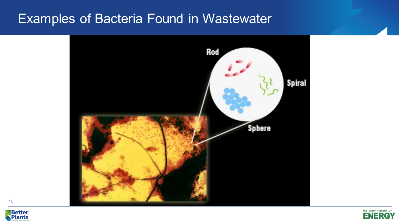#### Examples of Bacteria Found in Wastewater







15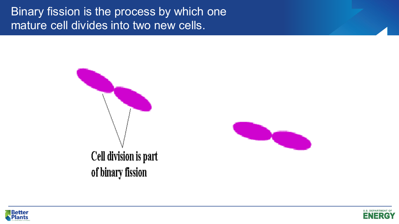Binary fission is the process by which one mature cell divides into two new cells.







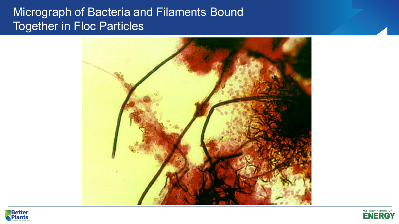#### Micrograph of Bacteria and Filaments Bound Together in Floc Particles





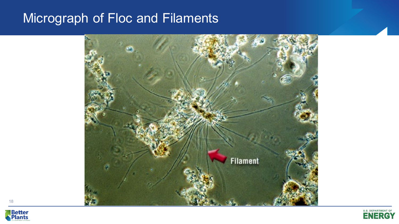# Micrograph of Floc and Filaments





18

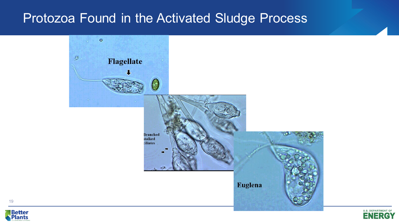#### Protozoa Found in the Activated Sludge Process





19

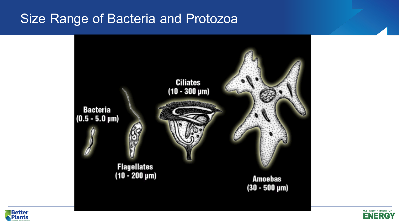#### Size Range of Bacteria and Protozoa





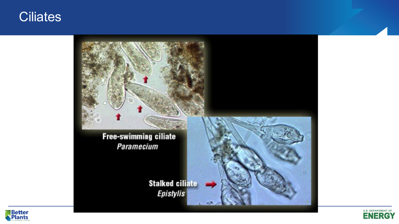#### **Ciliates**





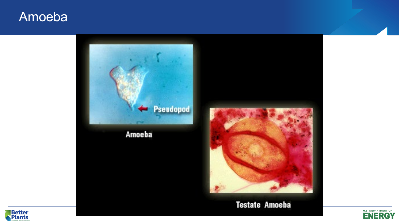#### Amoeba





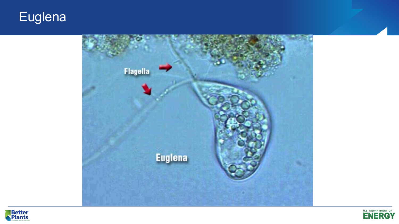# **Euglena**





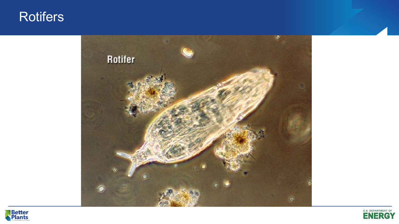#### **Rotifers**





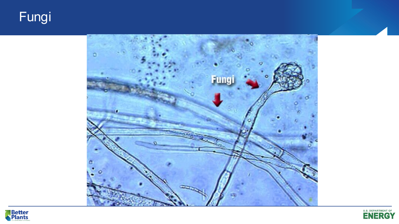# Fungi





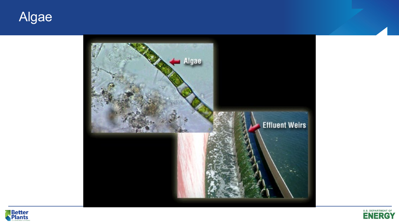





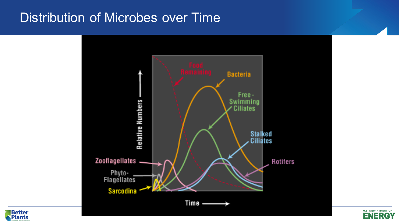# Distribution of Microbes over Time





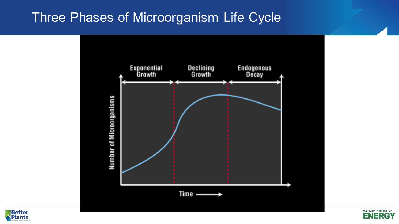### Three Phases of Microorganism Life Cycle





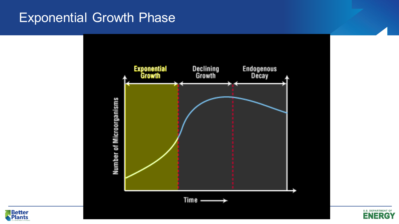#### Exponential Growth Phase





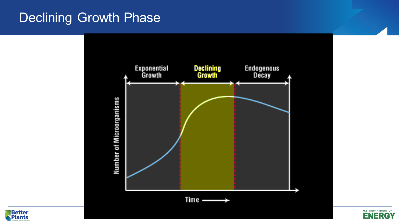## Declining Growth Phase





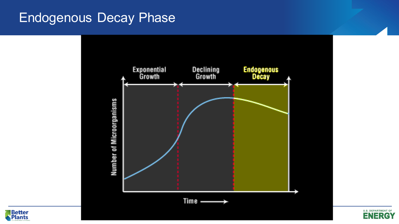#### Endogenous Decay Phase





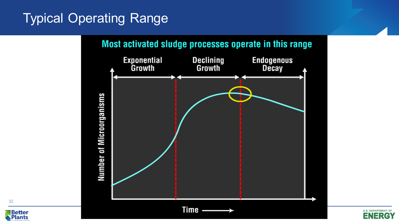# Typical Operating Range





32